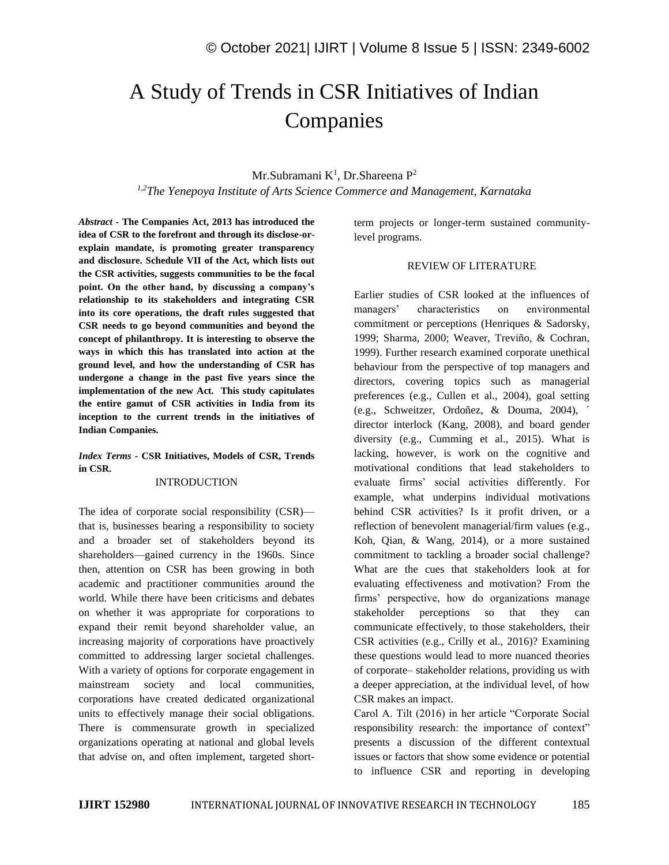# A Study of Trends in CSR Initiatives of Indian Companies

## Mr.Subramani K<sup>1</sup>, Dr.Shareena P<sup>2</sup>

*1,2The Yenepoya Institute of Arts Science Commerce and Management, Karnataka*

*Abstract -* **The Companies Act, 2013 has introduced the idea of CSR to the forefront and through its disclose-orexplain mandate, is promoting greater transparency and disclosure. Schedule VII of the Act, which lists out the CSR activities, suggests communities to be the focal point. On the other hand, by discussing a company's relationship to its stakeholders and integrating CSR into its core operations, the draft rules suggested that CSR needs to go beyond communities and beyond the concept of philanthropy. It is interesting to observe the ways in which this has translated into action at the ground level, and how the understanding of CSR has undergone a change in the past five years since the implementation of the new Act. This study capitulates the entire gamut of CSR activities in India from its inception to the current trends in the initiatives of Indian Companies.**

*Index Terms -* **CSR Initiatives, Models of CSR, Trends in CSR.**

### INTRODUCTION

The idea of corporate social responsibility (CSR) that is, businesses bearing a responsibility to society and a broader set of stakeholders beyond its shareholders—gained currency in the 1960s. Since then, attention on CSR has been growing in both academic and practitioner communities around the world. While there have been criticisms and debates on whether it was appropriate for corporations to expand their remit beyond shareholder value, an increasing majority of corporations have proactively committed to addressing larger societal challenges. With a variety of options for corporate engagement in mainstream society and local communities, corporations have created dedicated organizational units to effectively manage their social obligations. There is commensurate growth in specialized organizations operating at national and global levels that advise on, and often implement, targeted shortterm projects or longer-term sustained communitylevel programs.

#### REVIEW OF LITERATURE

Earlier studies of CSR looked at the influences of managers' characteristics on environmental commitment or perceptions (Henriques & Sadorsky, 1999; Sharma, 2000; Weaver, Treviño, & Cochran, 1999). Further research examined corporate unethical behaviour from the perspective of top managers and directors, covering topics such as managerial preferences (e.g., Cullen et al., 2004), goal setting (e.g., Schweitzer, Ordoñez, & Douma, 2004), ´ director interlock (Kang, 2008), and board gender diversity (e.g., Cumming et al., 2015). What is lacking, however, is work on the cognitive and motivational conditions that lead stakeholders to evaluate firms' social activities differently. For example, what underpins individual motivations behind CSR activities? Is it profit driven, or a reflection of benevolent managerial/firm values (e.g., Koh, Qian, & Wang, 2014), or a more sustained commitment to tackling a broader social challenge? What are the cues that stakeholders look at for evaluating effectiveness and motivation? From the firms' perspective, how do organizations manage stakeholder perceptions so that they can communicate effectively, to those stakeholders, their CSR activities (e.g., Crilly et al., 2016)? Examining these questions would lead to more nuanced theories of corporate– stakeholder relations, providing us with a deeper appreciation, at the individual level, of how CSR makes an impact.

Carol A. Tilt (2016) in her article "Corporate Social responsibility research: the importance of context" presents a discussion of the different contextual issues or factors that show some evidence or potential to influence CSR and reporting in developing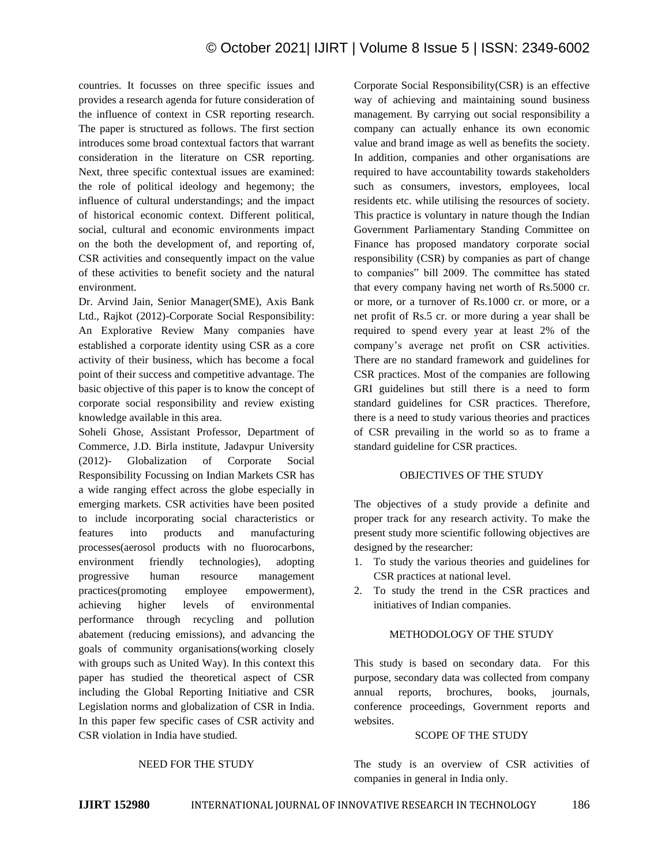countries. It focusses on three specific issues and provides a research agenda for future consideration of the influence of context in CSR reporting research. The paper is structured as follows. The first section introduces some broad contextual factors that warrant consideration in the literature on CSR reporting. Next, three specific contextual issues are examined: the role of political ideology and hegemony; the influence of cultural understandings; and the impact of historical economic context. Different political, social, cultural and economic environments impact on the both the development of, and reporting of, CSR activities and consequently impact on the value of these activities to benefit society and the natural environment.

Dr. Arvind Jain, Senior Manager(SME), Axis Bank Ltd., Rajkot (2012)-Corporate Social Responsibility: An Explorative Review Many companies have established a corporate identity using CSR as a core activity of their business, which has become a focal point of their success and competitive advantage. The basic objective of this paper is to know the concept of corporate social responsibility and review existing knowledge available in this area.

Soheli Ghose, Assistant Professor, Department of Commerce, J.D. Birla institute, Jadavpur University (2012)- Globalization of Corporate Social Responsibility Focussing on Indian Markets CSR has a wide ranging effect across the globe especially in emerging markets. CSR activities have been posited to include incorporating social characteristics or features into products and manufacturing processes(aerosol products with no fluorocarbons, environment friendly technologies), adopting progressive human resource management practices(promoting employee empowerment), achieving higher levels of environmental performance through recycling and pollution abatement (reducing emissions), and advancing the goals of community organisations(working closely with groups such as United Way). In this context this paper has studied the theoretical aspect of CSR including the Global Reporting Initiative and CSR Legislation norms and globalization of CSR in India. In this paper few specific cases of CSR activity and CSR violation in India have studied.

Corporate Social Responsibility(CSR) is an effective way of achieving and maintaining sound business management. By carrying out social responsibility a company can actually enhance its own economic value and brand image as well as benefits the society. In addition, companies and other organisations are required to have accountability towards stakeholders such as consumers, investors, employees, local residents etc. while utilising the resources of society. This practice is voluntary in nature though the Indian Government Parliamentary Standing Committee on Finance has proposed mandatory corporate social responsibility (CSR) by companies as part of change to companies" bill 2009. The committee has stated that every company having net worth of Rs.5000 cr. or more, or a turnover of Rs.1000 cr. or more, or a net profit of Rs.5 cr. or more during a year shall be required to spend every year at least 2% of the company's average net profit on CSR activities. There are no standard framework and guidelines for CSR practices. Most of the companies are following GRI guidelines but still there is a need to form standard guidelines for CSR practices. Therefore, there is a need to study various theories and practices of CSR prevailing in the world so as to frame a standard guideline for CSR practices.

## OBJECTIVES OF THE STUDY

The objectives of a study provide a definite and proper track for any research activity. To make the present study more scientific following objectives are designed by the researcher:

- 1. To study the various theories and guidelines for CSR practices at national level.
- 2. To study the trend in the CSR practices and initiatives of Indian companies.

#### METHODOLOGY OF THE STUDY

This study is based on secondary data. For this purpose, secondary data was collected from company annual reports, brochures, books, journals, conference proceedings, Government reports and websites.

#### SCOPE OF THE STUDY

NEED FOR THE STUDY

The study is an overview of CSR activities of companies in general in India only.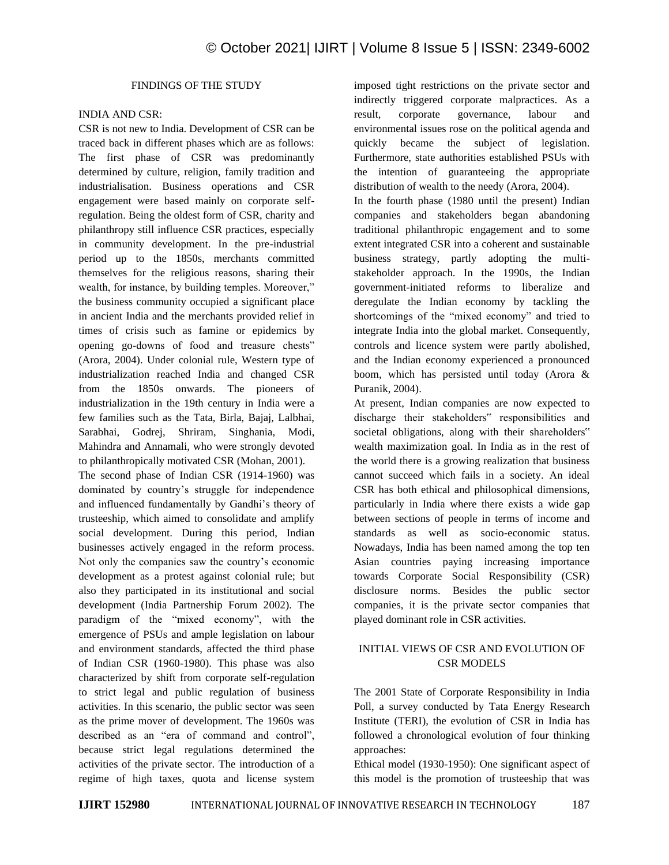# FINDINGS OF THE STUDY

#### INDIA AND CSR:

CSR is not new to India. Development of CSR can be traced back in different phases which are as follows: The first phase of CSR was predominantly determined by culture, religion, family tradition and industrialisation. Business operations and CSR engagement were based mainly on corporate selfregulation. Being the oldest form of CSR, charity and philanthropy still influence CSR practices, especially in community development. In the pre-industrial period up to the 1850s, merchants committed themselves for the religious reasons, sharing their wealth, for instance, by building temples. Moreover," the business community occupied a significant place in ancient India and the merchants provided relief in times of crisis such as famine or epidemics by opening go-downs of food and treasure chests" (Arora, 2004). Under colonial rule, Western type of industrialization reached India and changed CSR from the 1850s onwards. The pioneers of industrialization in the 19th century in India were a few families such as the Tata, Birla, Bajaj, Lalbhai, Sarabhai, Godrej, Shriram, Singhania, Modi, Mahindra and Annamali, who were strongly devoted to philanthropically motivated CSR (Mohan, 2001).

The second phase of Indian CSR (1914-1960) was dominated by country's struggle for independence and influenced fundamentally by Gandhi's theory of trusteeship, which aimed to consolidate and amplify social development. During this period, Indian businesses actively engaged in the reform process. Not only the companies saw the country's economic development as a protest against colonial rule; but also they participated in its institutional and social development (India Partnership Forum 2002). The paradigm of the "mixed economy", with the emergence of PSUs and ample legislation on labour and environment standards, affected the third phase of Indian CSR (1960-1980). This phase was also characterized by shift from corporate self-regulation to strict legal and public regulation of business activities. In this scenario, the public sector was seen as the prime mover of development. The 1960s was described as an "era of command and control", because strict legal regulations determined the activities of the private sector. The introduction of a regime of high taxes, quota and license system imposed tight restrictions on the private sector and indirectly triggered corporate malpractices. As a result, corporate governance, labour and environmental issues rose on the political agenda and quickly became the subject of legislation. Furthermore, state authorities established PSUs with the intention of guaranteeing the appropriate distribution of wealth to the needy (Arora, 2004).

In the fourth phase (1980 until the present) Indian companies and stakeholders began abandoning traditional philanthropic engagement and to some extent integrated CSR into a coherent and sustainable business strategy, partly adopting the multistakeholder approach. In the 1990s, the Indian government-initiated reforms to liberalize and deregulate the Indian economy by tackling the shortcomings of the "mixed economy" and tried to integrate India into the global market. Consequently, controls and licence system were partly abolished, and the Indian economy experienced a pronounced boom, which has persisted until today (Arora & Puranik, 2004).

At present, Indian companies are now expected to discharge their stakeholders" responsibilities and societal obligations, along with their shareholders" wealth maximization goal. In India as in the rest of the world there is a growing realization that business cannot succeed which fails in a society. An ideal CSR has both ethical and philosophical dimensions, particularly in India where there exists a wide gap between sections of people in terms of income and standards as well as socio-economic status. Nowadays, India has been named among the top ten Asian countries paying increasing importance towards Corporate Social Responsibility (CSR) disclosure norms. Besides the public sector companies, it is the private sector companies that played dominant role in CSR activities.

# INITIAL VIEWS OF CSR AND EVOLUTION OF CSR MODELS

The 2001 State of Corporate Responsibility in India Poll, a survey conducted by Tata Energy Research Institute (TERI), the evolution of CSR in India has followed a chronological evolution of four thinking approaches:

Ethical model (1930-1950): One significant aspect of this model is the promotion of trusteeship that was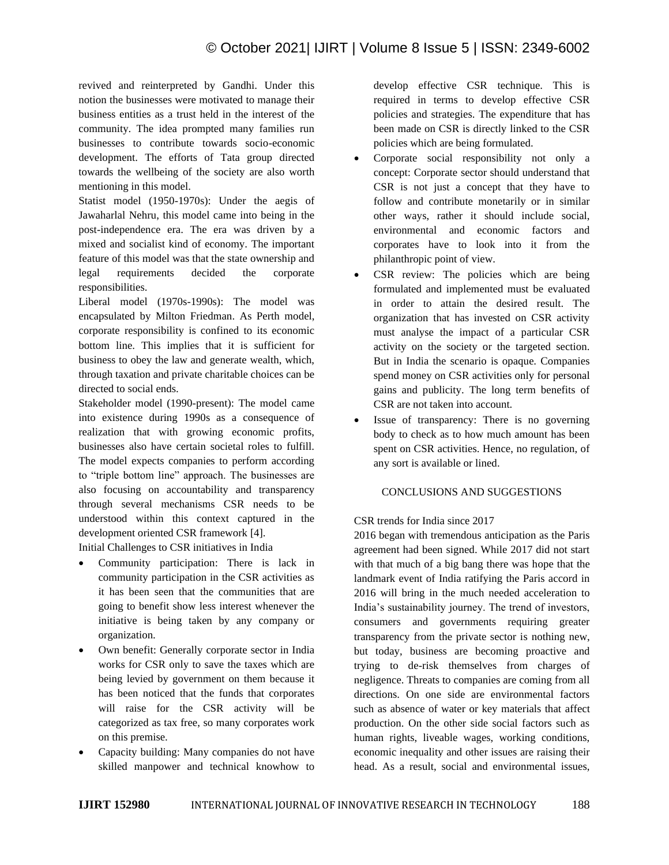revived and reinterpreted by Gandhi. Under this notion the businesses were motivated to manage their business entities as a trust held in the interest of the community. The idea prompted many families run businesses to contribute towards socio-economic development. The efforts of Tata group directed towards the wellbeing of the society are also worth mentioning in this model.

Statist model (1950-1970s): Under the aegis of Jawaharlal Nehru, this model came into being in the post-independence era. The era was driven by a mixed and socialist kind of economy. The important feature of this model was that the state ownership and legal requirements decided the corporate responsibilities.

Liberal model (1970s-1990s): The model was encapsulated by Milton Friedman. As Perth model, corporate responsibility is confined to its economic bottom line. This implies that it is sufficient for business to obey the law and generate wealth, which, through taxation and private charitable choices can be directed to social ends.

Stakeholder model (1990-present): The model came into existence during 1990s as a consequence of realization that with growing economic profits, businesses also have certain societal roles to fulfill. The model expects companies to perform according to "triple bottom line" approach. The businesses are also focusing on accountability and transparency through several mechanisms CSR needs to be understood within this context captured in the development oriented CSR framework [4].

Initial Challenges to CSR initiatives in India

- Community participation: There is lack in community participation in the CSR activities as it has been seen that the communities that are going to benefit show less interest whenever the initiative is being taken by any company or organization.
- Own benefit: Generally corporate sector in India works for CSR only to save the taxes which are being levied by government on them because it has been noticed that the funds that corporates will raise for the CSR activity will be categorized as tax free, so many corporates work on this premise.
- Capacity building: Many companies do not have skilled manpower and technical knowhow to

develop effective CSR technique. This is required in terms to develop effective CSR policies and strategies. The expenditure that has been made on CSR is directly linked to the CSR policies which are being formulated.

- Corporate social responsibility not only a concept: Corporate sector should understand that CSR is not just a concept that they have to follow and contribute monetarily or in similar other ways, rather it should include social, environmental and economic factors and corporates have to look into it from the philanthropic point of view.
- CSR review: The policies which are being formulated and implemented must be evaluated in order to attain the desired result. The organization that has invested on CSR activity must analyse the impact of a particular CSR activity on the society or the targeted section. But in India the scenario is opaque. Companies spend money on CSR activities only for personal gains and publicity. The long term benefits of CSR are not taken into account.
- Issue of transparency: There is no governing body to check as to how much amount has been spent on CSR activities. Hence, no regulation, of any sort is available or lined.

# CONCLUSIONS AND SUGGESTIONS

# CSR trends for India since 2017

2016 began with tremendous anticipation as the Paris agreement had been signed. While 2017 did not start with that much of a big bang there was hope that the landmark event of India ratifying the Paris accord in 2016 will bring in the much needed acceleration to India's sustainability journey. The trend of investors, consumers and governments requiring greater transparency from the private sector is nothing new, but today, business are becoming proactive and trying to de-risk themselves from charges of negligence. Threats to companies are coming from all directions. On one side are environmental factors such as absence of water or key materials that affect production. On the other side social factors such as human rights, liveable wages, working conditions, economic inequality and other issues are raising their head. As a result, social and environmental issues,